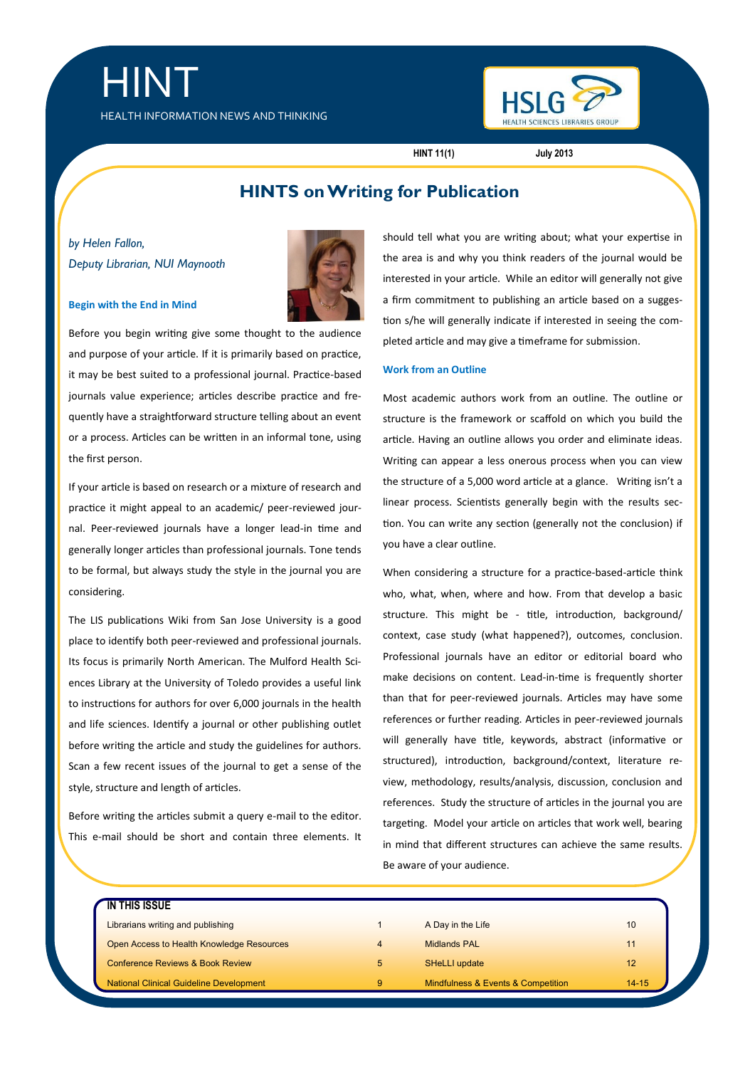HEALTH INFORMATION NEWS AND THINKING



**HINT 11(1) July 2013**

# **HINTS on Writing for Publication**

*by Helen Fallon, Deputy Librarian, NUI Maynooth*

HINT



#### **Begin with the End in Mind**

Before you begin writing give some thought to the audience and purpose of your article. If it is primarily based on practice, it may be best suited to a professional journal. Practice-based journals value experience; articles describe practice and frequently have a straightforward structure telling about an event or a process. Articles can be written in an informal tone, using the first person.

If your article is based on research or a mixture of research and practice it might appeal to an academic/ peer-reviewed journal. Peer-reviewed journals have a longer lead-in time and generally longer articles than professional journals. Tone tends to be formal, but always study the style in the journal you are considering.

The LIS publications Wiki from San Jose University is a good place to identify both peer-reviewed and professional journals. Its focus is primarily North American. The Mulford Health Sciences Library at the University of Toledo provides a useful link to instructions for authors for over 6,000 journals in the health and life sciences. Identify a journal or other publishing outlet before writing the article and study the guidelines for authors. Scan a few recent issues of the journal to get a sense of the style, structure and length of articles.

Before writing the articles submit a query e-mail to the editor. This e-mail should be short and contain three elements. It should tell what you are writing about; what your expertise in the area is and why you think readers of the journal would be interested in your article. While an editor will generally not give a firm commitment to publishing an article based on a suggestion s/he will generally indicate if interested in seeing the completed article and may give a timeframe for submission.

#### **Work from an Outline**

Most academic authors work from an outline. The outline or structure is the framework or scaffold on which you build the article. Having an outline allows you order and eliminate ideas. Writing can appear a less onerous process when you can view the structure of a 5,000 word article at a glance. Writing isn't a linear process. Scientists generally begin with the results section. You can write any section (generally not the conclusion) if you have a clear outline.

When considering a structure for a practice-based-article think who, what, when, where and how. From that develop a basic structure. This might be - title, introduction, background/ context, case study (what happened?), outcomes, conclusion. Professional journals have an editor or editorial board who make decisions on content. Lead-in-time is frequently shorter than that for peer-reviewed journals. Articles may have some references or further reading. Articles in peer-reviewed journals will generally have title, keywords, abstract (informative or structured), introduction, background/context, literature review, methodology, results/analysis, discussion, conclusion and references. Study the structure of articles in the journal you are targeting. Model your article on articles that work well, bearing in mind that different structures can achieve the same results. Be aware of your audience.

| IN THIS ISSUE                                  |   |                                    |           |
|------------------------------------------------|---|------------------------------------|-----------|
| Librarians writing and publishing              |   | A Day in the Life                  | 10        |
| Open Access to Health Knowledge Resources      |   | <b>Midlands PAL</b>                | 11        |
| <b>Conference Reviews &amp; Book Review</b>    | 5 | <b>SHeLLI update</b>               | 12        |
| <b>National Clinical Guideline Development</b> | 9 | Mindfulness & Events & Competition | $14 - 15$ |